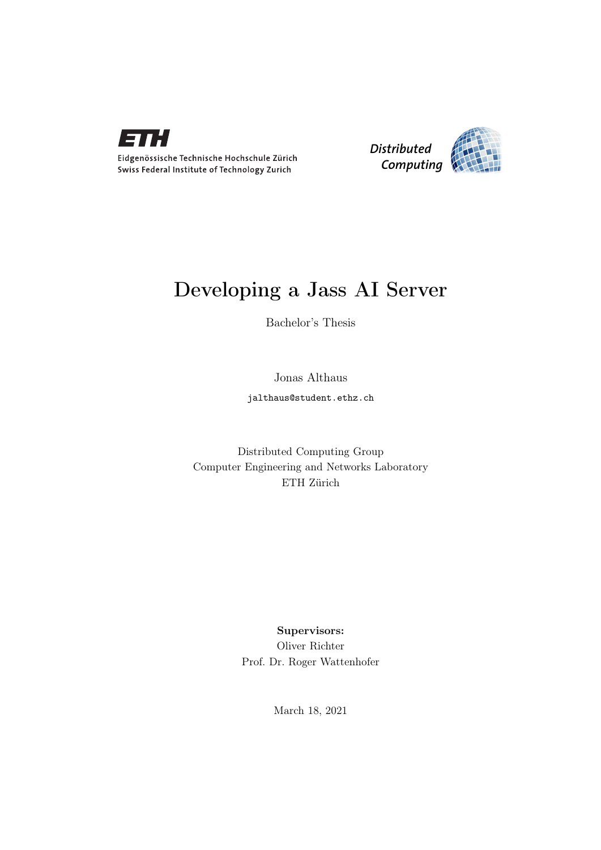

Eidgenössische Technische Hochschule Zürich Swiss Federal Institute of Technology Zurich



### Developing a Jass AI Server

Bachelor's Thesis

Jonas Althaus jalthaus@student.ethz.ch

Distributed Computing Group Computer Engineering and Networks Laboratory ETH Zürich

> Supervisors: Oliver Richter Prof. Dr. Roger Wattenhofer

> > March 18, 2021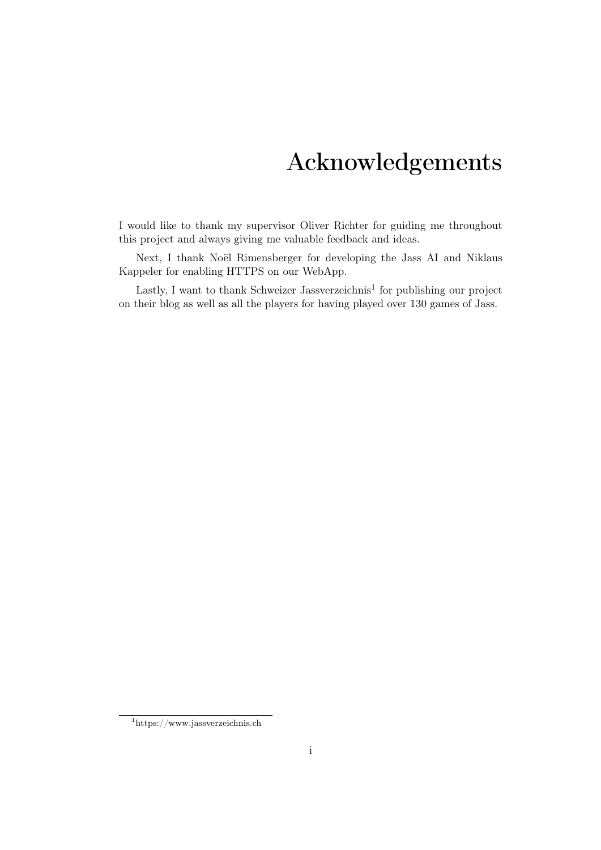### Acknowledgements

<span id="page-1-0"></span>I would like to thank my supervisor Oliver Richter for guiding me throughout this project and always giving me valuable feedback and ideas.

Next, I thank Noël Rimensberger for developing the Jass AI and Niklaus Kappeler for enabling HTTPS on our WebApp.

Lastly, I want to thank Schweizer Jassverzeichnis<sup>1</sup> for publishing our project on their blog as well as all the players for having played over 130 games of Jass.

<sup>1</sup>https://www.jassverzeichnis.ch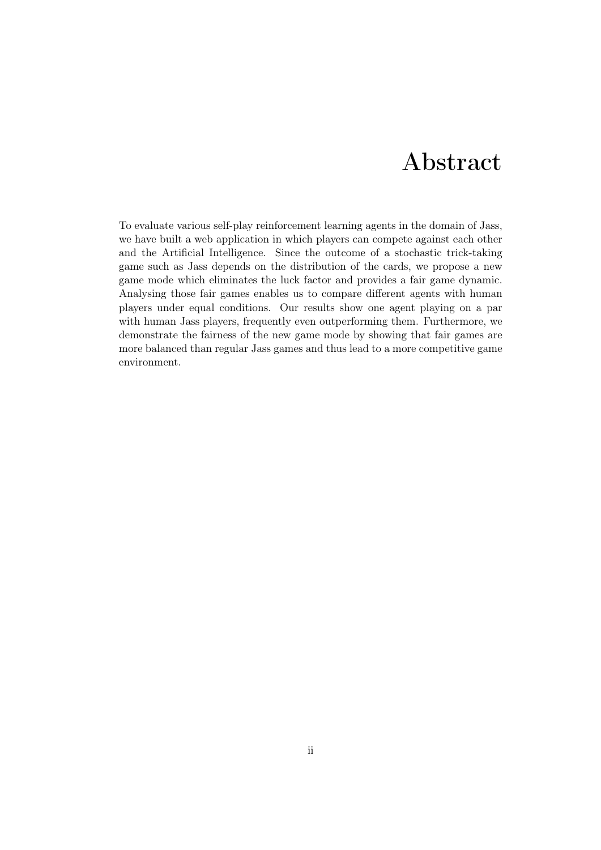### Abstract

<span id="page-2-0"></span>To evaluate various self-play reinforcement learning agents in the domain of Jass, we have built a web application in which players can compete against each other and the Artificial Intelligence. Since the outcome of a stochastic trick-taking game such as Jass depends on the distribution of the cards, we propose a new game mode which eliminates the luck factor and provides a fair game dynamic. Analysing those fair games enables us to compare different agents with human players under equal conditions. Our results show one agent playing on a par with human Jass players, frequently even outperforming them. Furthermore, we demonstrate the fairness of the new game mode by showing that fair games are more balanced than regular Jass games and thus lead to a more competitive game environment.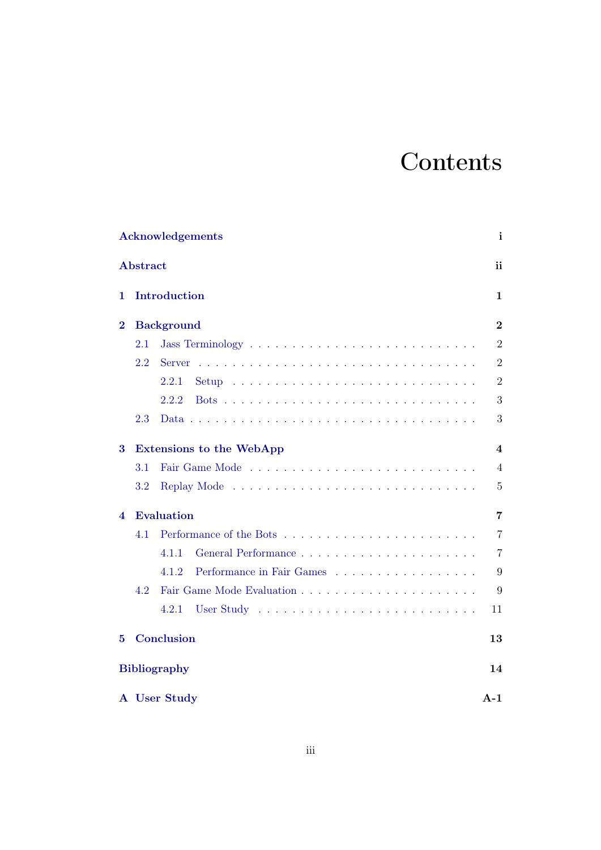# **Contents**

|                           |                                 | <b>Acknowledgements</b>            | i              |  |  |  |  |
|---------------------------|---------------------------------|------------------------------------|----------------|--|--|--|--|
|                           | Abstract                        |                                    | ii             |  |  |  |  |
| 1                         |                                 | Introduction                       | 1              |  |  |  |  |
| $\bf{2}$                  | <b>Background</b>               |                                    |                |  |  |  |  |
|                           | 2.1                             |                                    | $\overline{2}$ |  |  |  |  |
|                           | 2.2                             |                                    | $\overline{2}$ |  |  |  |  |
|                           |                                 | 2.2.1                              | $\overline{2}$ |  |  |  |  |
|                           |                                 | 2.2.2                              | 3              |  |  |  |  |
|                           | 2.3                             |                                    | 3              |  |  |  |  |
| 3                         | <b>Extensions to the WebApp</b> |                                    |                |  |  |  |  |
|                           | 3.1                             |                                    | $\overline{4}$ |  |  |  |  |
|                           | 3.2                             |                                    | $\overline{5}$ |  |  |  |  |
| 4                         | Evaluation                      |                                    |                |  |  |  |  |
|                           | 4.1                             |                                    | $\overline{7}$ |  |  |  |  |
|                           |                                 | 4.1.1                              | $\overline{7}$ |  |  |  |  |
|                           |                                 | Performance in Fair Games<br>4.1.2 | 9              |  |  |  |  |
|                           | 4.2                             |                                    | 9              |  |  |  |  |
|                           |                                 | 4.2.1                              | 11             |  |  |  |  |
| $\bf{5}$                  |                                 | Conclusion                         | 13             |  |  |  |  |
| <b>Bibliography</b><br>14 |                                 |                                    |                |  |  |  |  |
|                           | A User Study<br>$A-1$           |                                    |                |  |  |  |  |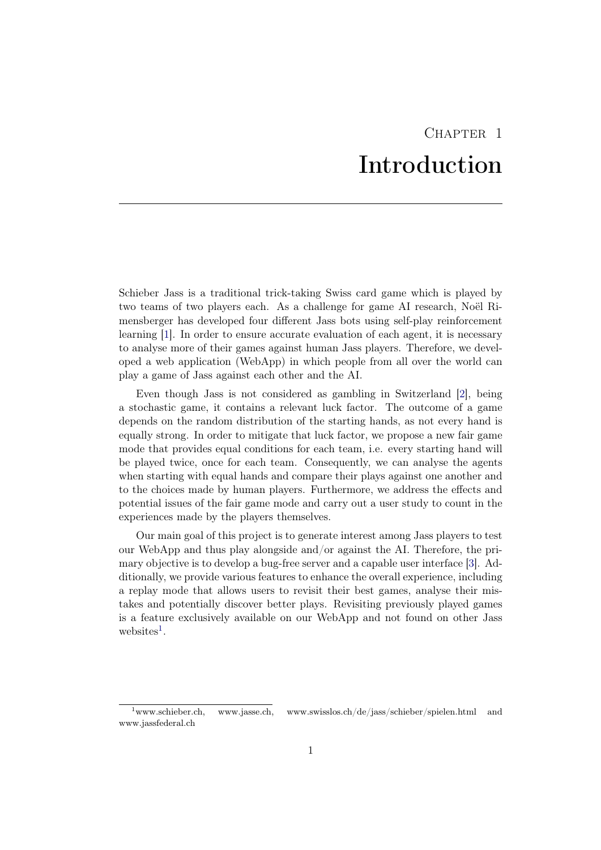## CHAPTER<sub>1</sub> Introduction

<span id="page-4-0"></span>Schieber Jass is a traditional trick-taking Swiss card game which is played by two teams of two players each. As a challenge for game AI research, Noël Rimensberger has developed four different Jass bots using self-play reinforcement learning [\[1\]](#page-17-0). In order to ensure accurate evaluation of each agent, it is necessary to analyse more of their games against human Jass players. Therefore, we developed a web application (WebApp) in which people from all over the world can play a game of Jass against each other and the AI.

Even though Jass is not considered as gambling in Switzerland [\[2\]](#page-17-0), being a stochastic game, it contains a relevant luck factor. The outcome of a game depends on the random distribution of the starting hands, as not every hand is equally strong. In order to mitigate that luck factor, we propose a new fair game mode that provides equal conditions for each team, i.e. every starting hand will be played twice, once for each team. Consequently, we can analyse the agents when starting with equal hands and compare their plays against one another and to the choices made by human players. Furthermore, we address the effects and potential issues of the fair game mode and carry out a user study to count in the experiences made by the players themselves.

Our main goal of this project is to generate interest among Jass players to test our WebApp and thus play alongside and/or against the AI. Therefore, the primary objective is to develop a bug-free server and a capable user interface [\[3\]](#page-17-0). Additionally, we provide various features to enhance the overall experience, including a replay mode that allows users to revisit their best games, analyse their mistakes and potentially discover better plays. Revisiting previously played games is a feature exclusively available on our WebApp and not found on other Jass websites<sup>1</sup>.

 $1$ www.schieber.ch, www.jasse.ch, www.swisslos.ch/de/jass/schieber/spielen.html and www.jassfederal.ch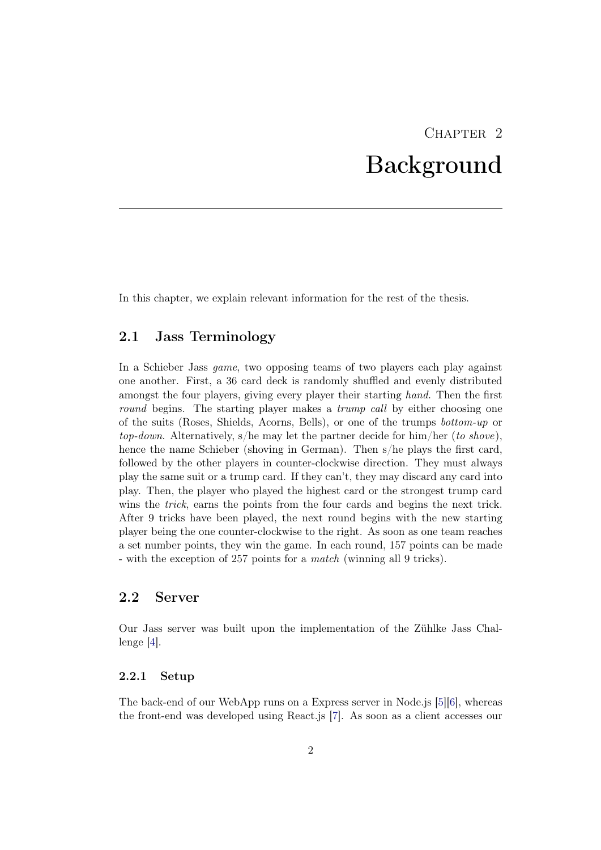# CHAPTER<sub>2</sub> Background

<span id="page-5-0"></span>In this chapter, we explain relevant information for the rest of the thesis.

### 2.1 Jass Terminology

In a Schieber Jass game, two opposing teams of two players each play against one another. First, a 36 card deck is randomly shuffled and evenly distributed amongst the four players, giving every player their starting hand. Then the first round begins. The starting player makes a *trump call* by either choosing one of the suits (Roses, Shields, Acorns, Bells), or one of the trumps bottom-up or top-down. Alternatively, s/he may let the partner decide for him/her (to shove), hence the name Schieber (shoving in German). Then s/he plays the first card, followed by the other players in counter-clockwise direction. They must always play the same suit or a trump card. If they can't, they may discard any card into play. Then, the player who played the highest card or the strongest trump card wins the trick, earns the points from the four cards and begins the next trick. After 9 tricks have been played, the next round begins with the new starting player being the one counter-clockwise to the right. As soon as one team reaches a set number points, they win the game. In each round, 157 points can be made - with the exception of 257 points for a match (winning all 9 tricks).

### 2.2 Server

Our Jass server was built upon the implementation of the Zühlke Jass Challenge [\[4\]](#page-17-0).

#### 2.2.1 Setup

The back-end of our WebApp runs on a Express server in Node.js [\[5\]\[6\]](#page-17-0), whereas the front-end was developed using React.js [\[7\]](#page-17-0). As soon as a client accesses our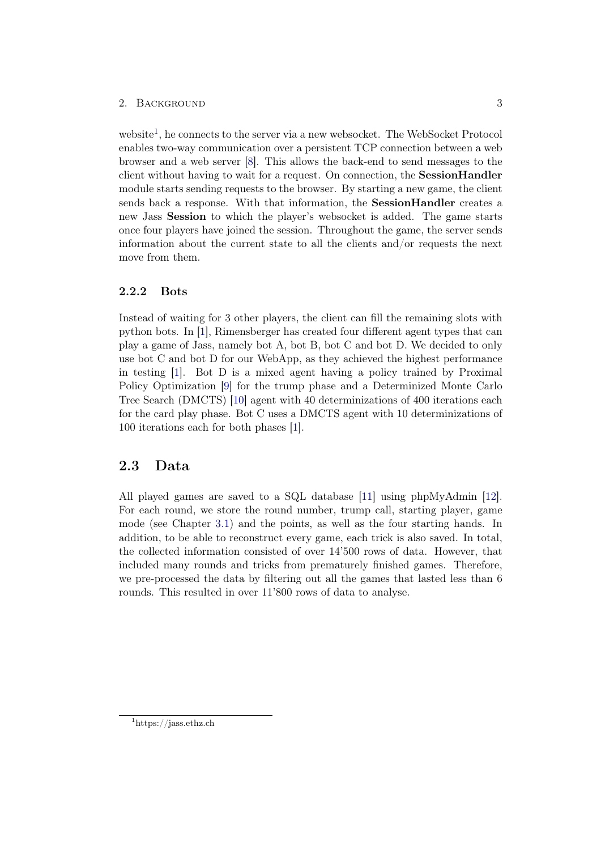#### <span id="page-6-0"></span>2. BACKGROUND 3

website<sup>1</sup>, he connects to the server via a new websocket. The WebSocket Protocol enables two-way communication over a persistent TCP connection between a web browser and a web server [\[8\]](#page-17-0). This allows the back-end to send messages to the client without having to wait for a request. On connection, the SessionHandler module starts sending requests to the browser. By starting a new game, the client sends back a response. With that information, the SessionHandler creates a new Jass Session to which the player's websocket is added. The game starts once four players have joined the session. Throughout the game, the server sends information about the current state to all the clients and/or requests the next move from them.

#### 2.2.2 Bots

Instead of waiting for 3 other players, the client can fill the remaining slots with python bots. In [\[1\]](#page-17-0), Rimensberger has created four different agent types that can play a game of Jass, namely bot A, bot B, bot C and bot D. We decided to only use bot C and bot D for our WebApp, as they achieved the highest performance in testing [\[1\]](#page-17-0). Bot D is a mixed agent having a policy trained by Proximal Policy Optimization [\[9\]](#page-17-0) for the trump phase and a Determinized Monte Carlo Tree Search (DMCTS) [\[10\]](#page-17-0) agent with 40 determinizations of 400 iterations each for the card play phase. Bot C uses a DMCTS agent with 10 determinizations of 100 iterations each for both phases [\[1\]](#page-17-0).

### 2.3 Data

All played games are saved to a SQL database [\[11\]](#page-17-0) using phpMyAdmin [\[12\]](#page-17-0). For each round, we store the round number, trump call, starting player, game mode (see Chapter [3.1\)](#page-7-0) and the points, as well as the four starting hands. In addition, to be able to reconstruct every game, each trick is also saved. In total, the collected information consisted of over 14'500 rows of data. However, that included many rounds and tricks from prematurely finished games. Therefore, we pre-processed the data by filtering out all the games that lasted less than 6 rounds. This resulted in over 11'800 rows of data to analyse.

<sup>1</sup>https://jass.ethz.ch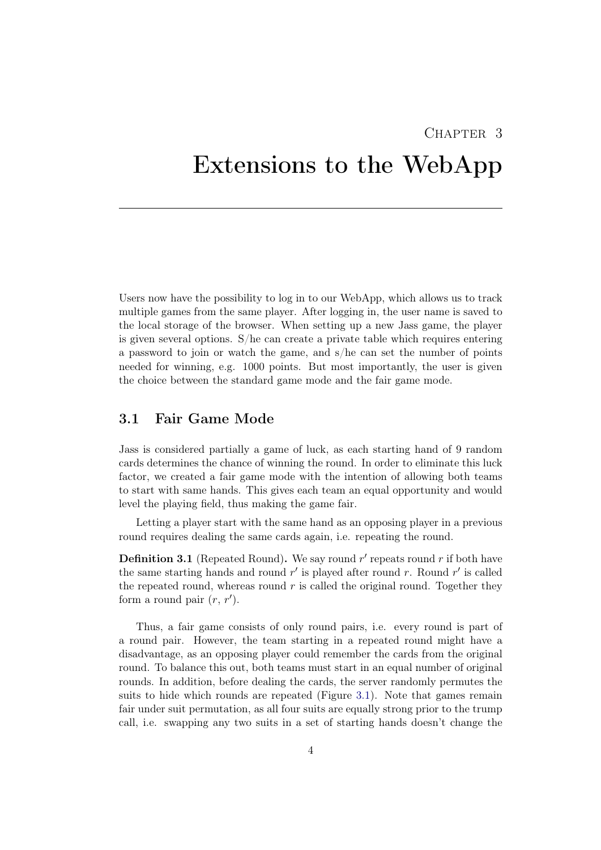### $CHAPTER$  3

# <span id="page-7-0"></span>Extensions to the WebApp

Users now have the possibility to log in to our WebApp, which allows us to track multiple games from the same player. After logging in, the user name is saved to the local storage of the browser. When setting up a new Jass game, the player is given several options. S/he can create a private table which requires entering a password to join or watch the game, and s/he can set the number of points needed for winning, e.g. 1000 points. But most importantly, the user is given the choice between the standard game mode and the fair game mode.

### 3.1 Fair Game Mode

Jass is considered partially a game of luck, as each starting hand of 9 random cards determines the chance of winning the round. In order to eliminate this luck factor, we created a fair game mode with the intention of allowing both teams to start with same hands. This gives each team an equal opportunity and would level the playing field, thus making the game fair.

Letting a player start with the same hand as an opposing player in a previous round requires dealing the same cards again, i.e. repeating the round.

**Definition 3.1** (Repeated Round). We say round  $r'$  repeats round r if both have the same starting hands and round  $r'$  is played after round r. Round  $r'$  is called the repeated round, whereas round  $r$  is called the original round. Together they form a round pair  $(r, r')$ .

Thus, a fair game consists of only round pairs, i.e. every round is part of a round pair. However, the team starting in a repeated round might have a disadvantage, as an opposing player could remember the cards from the original round. To balance this out, both teams must start in an equal number of original rounds. In addition, before dealing the cards, the server randomly permutes the suits to hide which rounds are repeated (Figure [3.1\)](#page-8-0). Note that games remain fair under suit permutation, as all four suits are equally strong prior to the trump call, i.e. swapping any two suits in a set of starting hands doesn't change the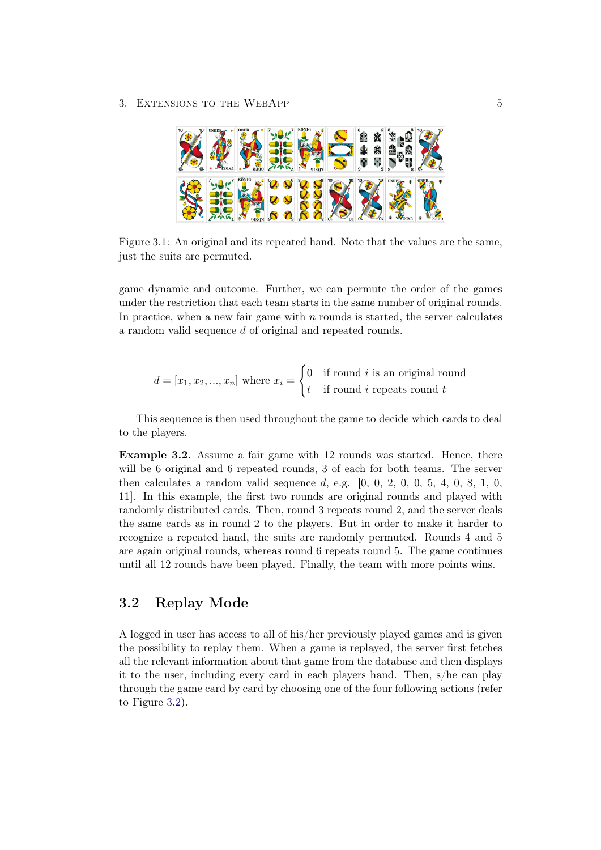<span id="page-8-0"></span>3. EXTENSIONS TO THE WEBAPP 5



Figure 3.1: An original and its repeated hand. Note that the values are the same, just the suits are permuted.

game dynamic and outcome. Further, we can permute the order of the games under the restriction that each team starts in the same number of original rounds. In practice, when a new fair game with  $n$  rounds is started, the server calculates a random valid sequence d of original and repeated rounds.

$$
d = [x_1, x_2, ..., x_n]
$$
 where  $x_i = \begin{cases} 0 & \text{if round } i \text{ is an original round} \\ t & \text{if round } i \text{ repeats round } t \end{cases}$ 

This sequence is then used throughout the game to decide which cards to deal to the players.

Example 3.2. Assume a fair game with 12 rounds was started. Hence, there will be 6 original and 6 repeated rounds, 3 of each for both teams. The server then calculates a random valid sequence d, e.g. [0, 0, 2, 0, 0, 5, 4, 0, 8, 1, 0, 11]. In this example, the first two rounds are original rounds and played with randomly distributed cards. Then, round 3 repeats round 2, and the server deals the same cards as in round 2 to the players. But in order to make it harder to recognize a repeated hand, the suits are randomly permuted. Rounds 4 and 5 are again original rounds, whereas round 6 repeats round 5. The game continues until all 12 rounds have been played. Finally, the team with more points wins.

### 3.2 Replay Mode

A logged in user has access to all of his/her previously played games and is given the possibility to replay them. When a game is replayed, the server first fetches all the relevant information about that game from the database and then displays it to the user, including every card in each players hand. Then, s/he can play through the game card by card by choosing one of the four following actions (refer to Figure [3.2\)](#page-9-0).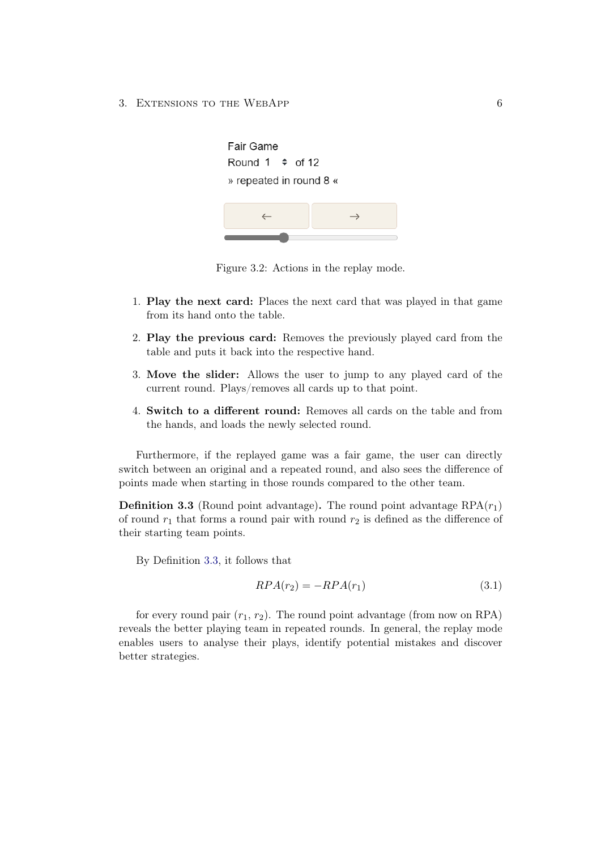<span id="page-9-0"></span>3. EXTENSIONS TO THE WEBAPP 6



Figure 3.2: Actions in the replay mode.

- 1. Play the next card: Places the next card that was played in that game from its hand onto the table.
- 2. Play the previous card: Removes the previously played card from the table and puts it back into the respective hand.
- 3. Move the slider: Allows the user to jump to any played card of the current round. Plays/removes all cards up to that point.
- 4. Switch to a different round: Removes all cards on the table and from the hands, and loads the newly selected round.

Furthermore, if the replayed game was a fair game, the user can directly switch between an original and a repeated round, and also sees the difference of points made when starting in those rounds compared to the other team.

**Definition 3.3** (Round point advantage). The round point advantage  $RPA(r_1)$ of round  $r_1$  that forms a round pair with round  $r_2$  is defined as the difference of their starting team points.

By Definition 3.3, it follows that

$$
RPA(r_2) = -RPA(r_1)
$$
\n(3.1)

for every round pair  $(r_1, r_2)$ . The round point advantage (from now on RPA) reveals the better playing team in repeated rounds. In general, the replay mode enables users to analyse their plays, identify potential mistakes and discover better strategies.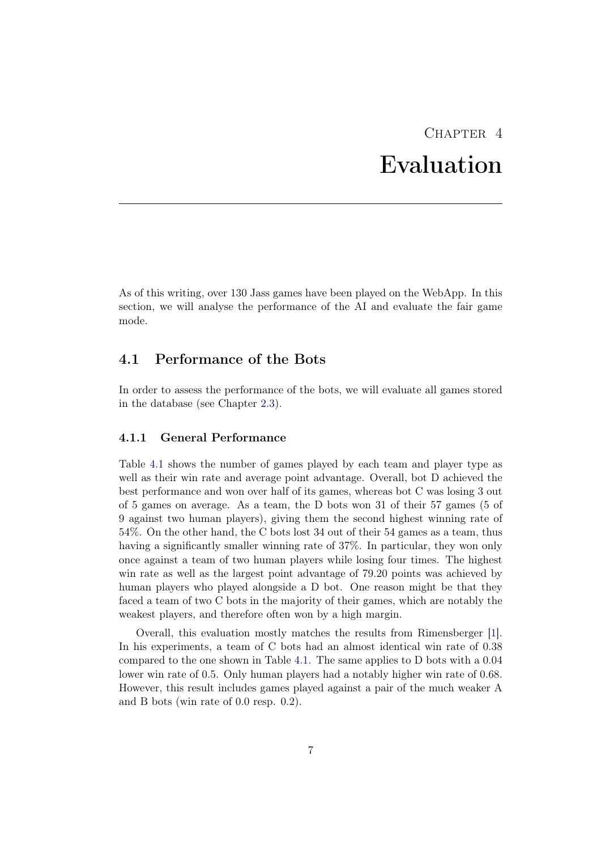# $CHAPTER$  4 Evaluation

<span id="page-10-0"></span>As of this writing, over 130 Jass games have been played on the WebApp. In this section, we will analyse the performance of the AI and evaluate the fair game mode.

### 4.1 Performance of the Bots

In order to assess the performance of the bots, we will evaluate all games stored in the database (see Chapter [2.3\)](#page-6-0).

#### 4.1.1 General Performance

Table [4.1](#page-11-0) shows the number of games played by each team and player type as well as their win rate and average point advantage. Overall, bot D achieved the best performance and won over half of its games, whereas bot C was losing 3 out of 5 games on average. As a team, the D bots won 31 of their 57 games (5 of 9 against two human players), giving them the second highest winning rate of 54%. On the other hand, the C bots lost 34 out of their 54 games as a team, thus having a significantly smaller winning rate of 37%. In particular, they won only once against a team of two human players while losing four times. The highest win rate as well as the largest point advantage of 79.20 points was achieved by human players who played alongside a D bot. One reason might be that they faced a team of two C bots in the majority of their games, which are notably the weakest players, and therefore often won by a high margin.

Overall, this evaluation mostly matches the results from Rimensberger [\[1\]](#page-17-0). In his experiments, a team of C bots had an almost identical win rate of 0.38 compared to the one shown in Table [4.1.](#page-11-0) The same applies to D bots with a 0.04 lower win rate of 0.5. Only human players had a notably higher win rate of 0.68. However, this result includes games played against a pair of the much weaker A and B bots (win rate of 0.0 resp. 0.2).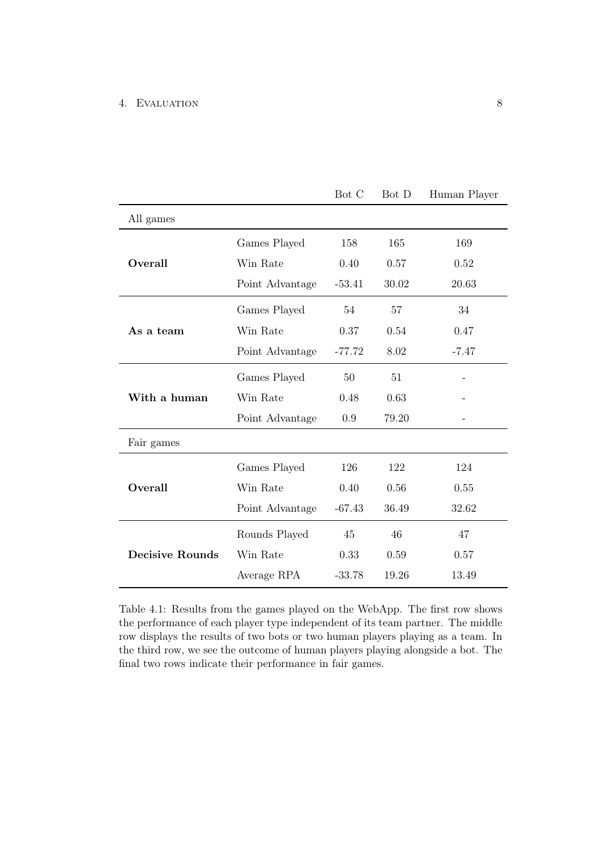#### <span id="page-11-0"></span>4. Evaluation 8

| All games              |                 |          |       |       |  |
|------------------------|-----------------|----------|-------|-------|--|
|                        | Games Played    | 158      | 165   | 169   |  |
| Overall                | Win Rate        | 0.40     | 0.57  | 0.52  |  |
|                        | Point Advantage | $-53.41$ | 30.02 | 20.63 |  |
|                        | Games Played    | 54       | 57    | 34    |  |
| As a team              | Win Rate        | 0.37     | 0.54  | 0.47  |  |
|                        | Point Advantage | $-77.72$ | 8.02  | -7.47 |  |
|                        | Games Played    | 50       | 51    |       |  |
| With a human           | Win Rate        | 0.48     | 0.63  |       |  |
|                        | Point Advantage | 0.9      | 79.20 |       |  |
| Fair games             |                 |          |       |       |  |
|                        | Games Played    | 126      | 122   | 124   |  |
| Overall                | Win Rate        | 0.40     | 0.56  | 0.55  |  |
|                        | Point Advantage | $-67.43$ | 36.49 | 32.62 |  |
|                        | Rounds Played   | 45       | 46    | 47    |  |
| <b>Decisive Rounds</b> | Win Rate        | 0.33     | 0.59  | 0.57  |  |
|                        | Average RPA     | $-33.78$ | 19.26 | 13.49 |  |

Bot C Bot D Human Player

Table 4.1: Results from the games played on the WebApp. The first row shows the performance of each player type independent of its team partner. The middle row displays the results of two bots or two human players playing as a team. In the third row, we see the outcome of human players playing alongside a bot. The final two rows indicate their performance in fair games.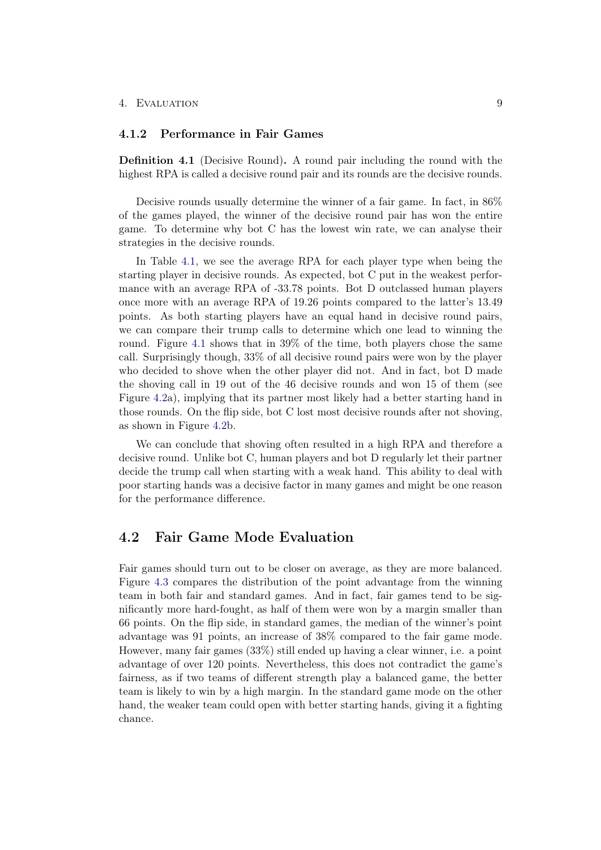#### <span id="page-12-0"></span>4.1.2 Performance in Fair Games

Definition 4.1 (Decisive Round). A round pair including the round with the highest RPA is called a decisive round pair and its rounds are the decisive rounds.

Decisive rounds usually determine the winner of a fair game. In fact, in 86% of the games played, the winner of the decisive round pair has won the entire game. To determine why bot C has the lowest win rate, we can analyse their strategies in the decisive rounds.

In Table [4.1,](#page-11-0) we see the average RPA for each player type when being the starting player in decisive rounds. As expected, bot C put in the weakest performance with an average RPA of -33.78 points. Bot D outclassed human players once more with an average RPA of 19.26 points compared to the latter's 13.49 points. As both starting players have an equal hand in decisive round pairs, we can compare their trump calls to determine which one lead to winning the round. Figure [4.1](#page-13-0) shows that in 39% of the time, both players chose the same call. Surprisingly though, 33% of all decisive round pairs were won by the player who decided to shove when the other player did not. And in fact, bot D made the shoving call in 19 out of the 46 decisive rounds and won 15 of them (see Figure [4.2a](#page-13-0)), implying that its partner most likely had a better starting hand in those rounds. On the flip side, bot C lost most decisive rounds after not shoving, as shown in Figure [4.2b](#page-13-0).

We can conclude that shoving often resulted in a high RPA and therefore a decisive round. Unlike bot C, human players and bot D regularly let their partner decide the trump call when starting with a weak hand. This ability to deal with poor starting hands was a decisive factor in many games and might be one reason for the performance difference.

### 4.2 Fair Game Mode Evaluation

Fair games should turn out to be closer on average, as they are more balanced. Figure [4.3](#page-14-0) compares the distribution of the point advantage from the winning team in both fair and standard games. And in fact, fair games tend to be significantly more hard-fought, as half of them were won by a margin smaller than 66 points. On the flip side, in standard games, the median of the winner's point advantage was 91 points, an increase of 38% compared to the fair game mode. However, many fair games (33%) still ended up having a clear winner, i.e. a point advantage of over 120 points. Nevertheless, this does not contradict the game's fairness, as if two teams of different strength play a balanced game, the better team is likely to win by a high margin. In the standard game mode on the other hand, the weaker team could open with better starting hands, giving it a fighting chance.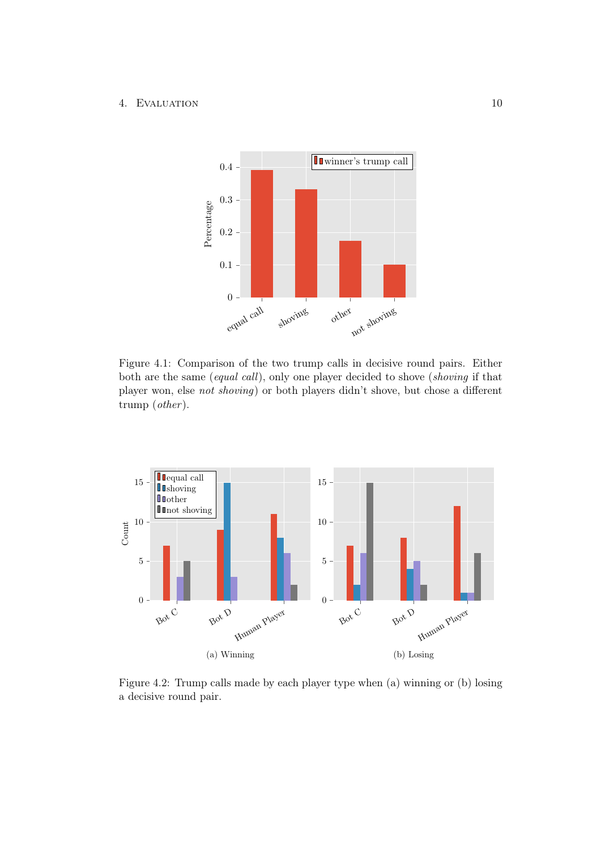#### <span id="page-13-0"></span>4. EVALUATION 10



Figure 4.1: Comparison of the two trump calls in decisive round pairs. Either both are the same (equal call), only one player decided to shove (shoving if that player won, else not shoving) or both players didn't shove, but chose a different trump  $(\text{other})$ .



Figure 4.2: Trump calls made by each player type when (a) winning or (b) losing a decisive round pair.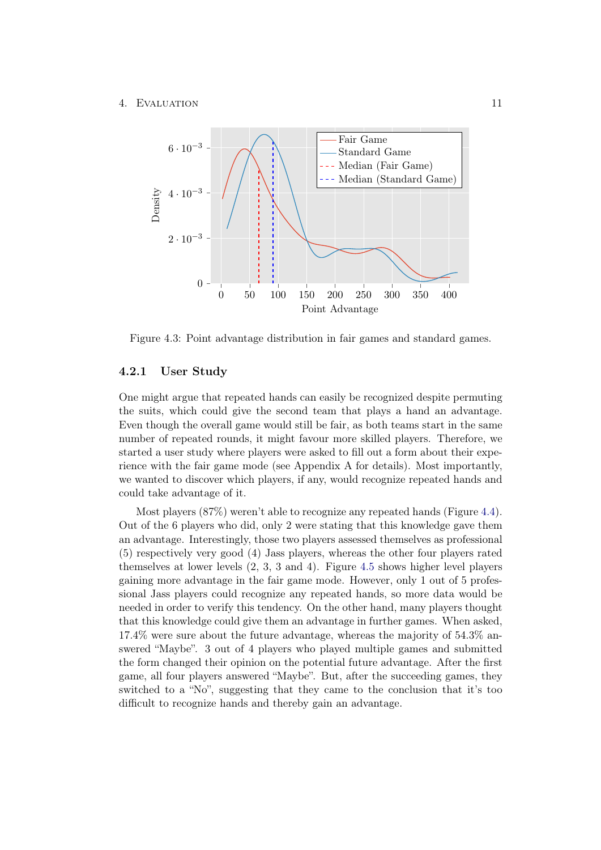#### <span id="page-14-0"></span>4. Evaluation 11



Figure 4.3: Point advantage distribution in fair games and standard games.

#### 4.2.1 User Study

One might argue that repeated hands can easily be recognized despite permuting the suits, which could give the second team that plays a hand an advantage. Even though the overall game would still be fair, as both teams start in the same number of repeated rounds, it might favour more skilled players. Therefore, we started a user study where players were asked to fill out a form about their experience with the fair game mode (see Appendix A for details). Most importantly, we wanted to discover which players, if any, would recognize repeated hands and could take advantage of it.

Most players (87%) weren't able to recognize any repeated hands (Figure [4.4\)](#page-15-0). Out of the 6 players who did, only 2 were stating that this knowledge gave them an advantage. Interestingly, those two players assessed themselves as professional (5) respectively very good (4) Jass players, whereas the other four players rated themselves at lower levels (2, 3, 3 and 4). Figure [4.5](#page-15-0) shows higher level players gaining more advantage in the fair game mode. However, only 1 out of 5 professional Jass players could recognize any repeated hands, so more data would be needed in order to verify this tendency. On the other hand, many players thought that this knowledge could give them an advantage in further games. When asked, 17.4% were sure about the future advantage, whereas the majority of 54.3% answered "Maybe". 3 out of 4 players who played multiple games and submitted the form changed their opinion on the potential future advantage. After the first game, all four players answered "Maybe". But, after the succeeding games, they switched to a "No", suggesting that they came to the conclusion that it's too difficult to recognize hands and thereby gain an advantage.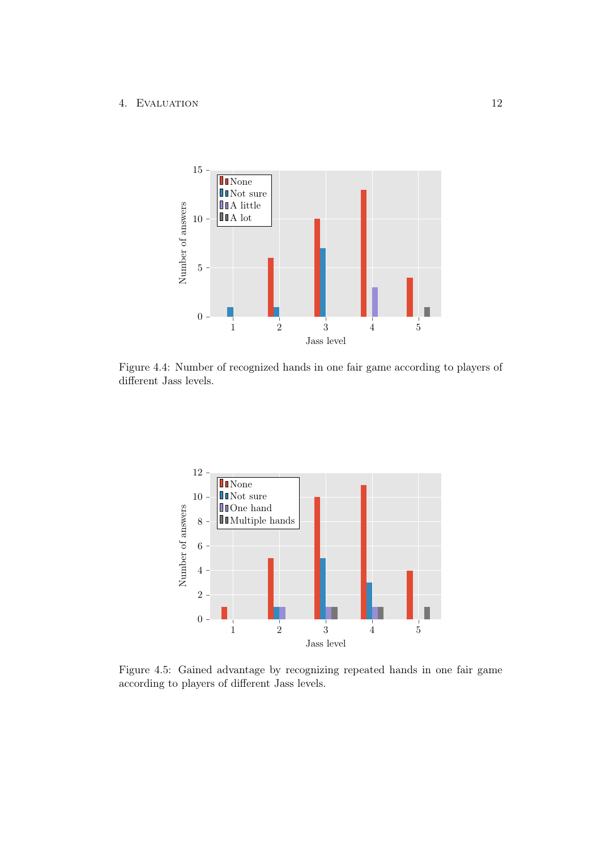#### <span id="page-15-0"></span>4. Evaluation 12



Figure 4.4: Number of recognized hands in one fair game according to players of different Jass levels.



Figure 4.5: Gained advantage by recognizing repeated hands in one fair game according to players of different Jass levels.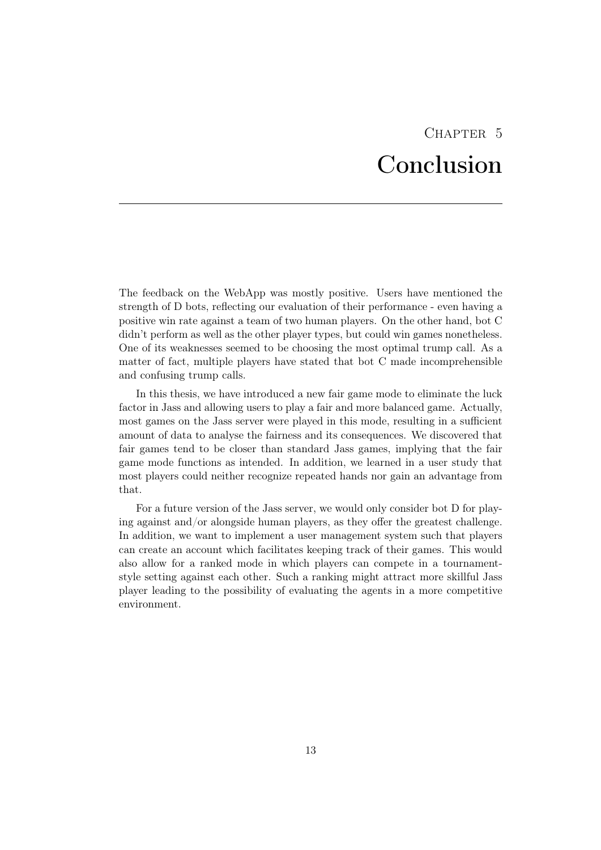# CHAPTER 5 Conclusion

<span id="page-16-0"></span>The feedback on the WebApp was mostly positive. Users have mentioned the strength of D bots, reflecting our evaluation of their performance - even having a positive win rate against a team of two human players. On the other hand, bot C didn't perform as well as the other player types, but could win games nonetheless. One of its weaknesses seemed to be choosing the most optimal trump call. As a matter of fact, multiple players have stated that bot C made incomprehensible and confusing trump calls.

In this thesis, we have introduced a new fair game mode to eliminate the luck factor in Jass and allowing users to play a fair and more balanced game. Actually, most games on the Jass server were played in this mode, resulting in a sufficient amount of data to analyse the fairness and its consequences. We discovered that fair games tend to be closer than standard Jass games, implying that the fair game mode functions as intended. In addition, we learned in a user study that most players could neither recognize repeated hands nor gain an advantage from that.

For a future version of the Jass server, we would only consider bot D for playing against and/or alongside human players, as they offer the greatest challenge. In addition, we want to implement a user management system such that players can create an account which facilitates keeping track of their games. This would also allow for a ranked mode in which players can compete in a tournamentstyle setting against each other. Such a ranking might attract more skillful Jass player leading to the possibility of evaluating the agents in a more competitive environment.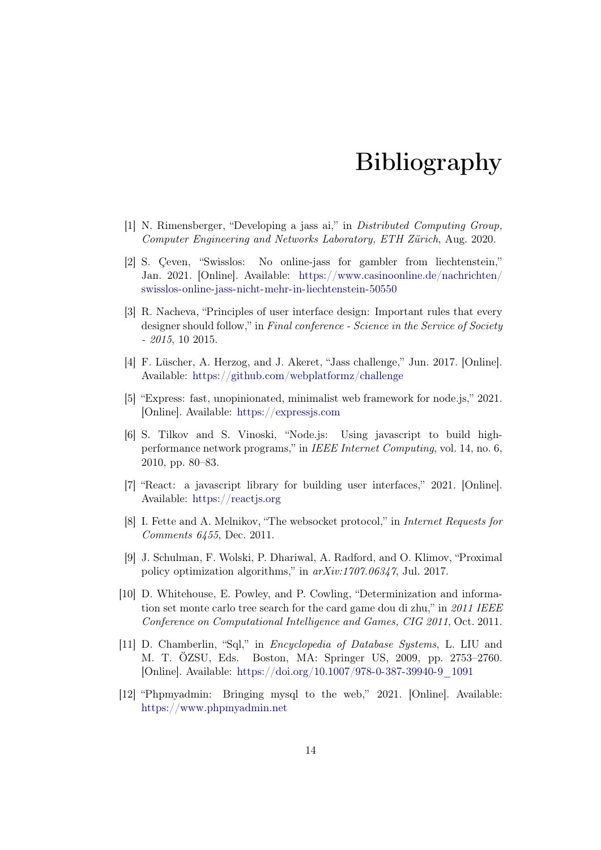## Bibliography

- <span id="page-17-0"></span>[1] N. Rimensberger, "Developing a jass ai," in Distributed Computing Group, Computer Engineering and Networks Laboratory, ETH Zürich, Aug. 2020.
- [2] S. Çeven, "Swisslos: No online-jass for gambler from liechtenstein," Jan. 2021. [Online]. Available: [https://www.casinoonline.de/nachrichten/](https://www.casinoonline.de/nachrichten/swisslos-online-jass-nicht-mehr-in-liechtenstein-50550) [swisslos-online-jass-nicht-mehr-in-liechtenstein-50550](https://www.casinoonline.de/nachrichten/swisslos-online-jass-nicht-mehr-in-liechtenstein-50550)
- [3] R. Nacheva, "Principles of user interface design: Important rules that every designer should follow," in Final conference - Science in the Service of Society - 2015, 10 2015.
- [4] F. Lüscher, A. Herzog, and J. Akeret, "Jass challenge," Jun. 2017. [Online]. Available: <https://github.com/webplatformz/challenge>
- [5] "Express: fast, unopinionated, minimalist web framework for node.js," 2021. [Online]. Available: <https://expressjs.com>
- [6] S. Tilkov and S. Vinoski, "Node.js: Using javascript to build highperformance network programs," in IEEE Internet Computing, vol. 14, no. 6, 2010, pp. 80–83.
- [7] "React: a javascript library for building user interfaces," 2021. [Online]. Available: <https://reactjs.org>
- [8] I. Fette and A. Melnikov, "The websocket protocol," in Internet Requests for Comments 6455, Dec. 2011.
- [9] J. Schulman, F. Wolski, P. Dhariwal, A. Radford, and O. Klimov, "Proximal policy optimization algorithms," in arXiv:1707.06347, Jul. 2017.
- [10] D. Whitehouse, E. Powley, and P. Cowling, "Determinization and information set monte carlo tree search for the card game dou di zhu," in 2011 IEEE Conference on Computational Intelligence and Games, CIG 2011, Oct. 2011.
- [11] D. Chamberlin, "Sql," in Encyclopedia of Database Systems, L. LIU and M. T. ÖZSU, Eds. Boston, MA: Springer US, 2009, pp. 2753–2760. [Online]. Available: [https://doi.org/10.1007/978-0-387-39940-9\\_1091](https://doi.org/10.1007/978-0-387-39940-9_1091)
- [12] "Phpmyadmin: Bringing mysql to the web," 2021. [Online]. Available: <https://www.phpmyadmin.net>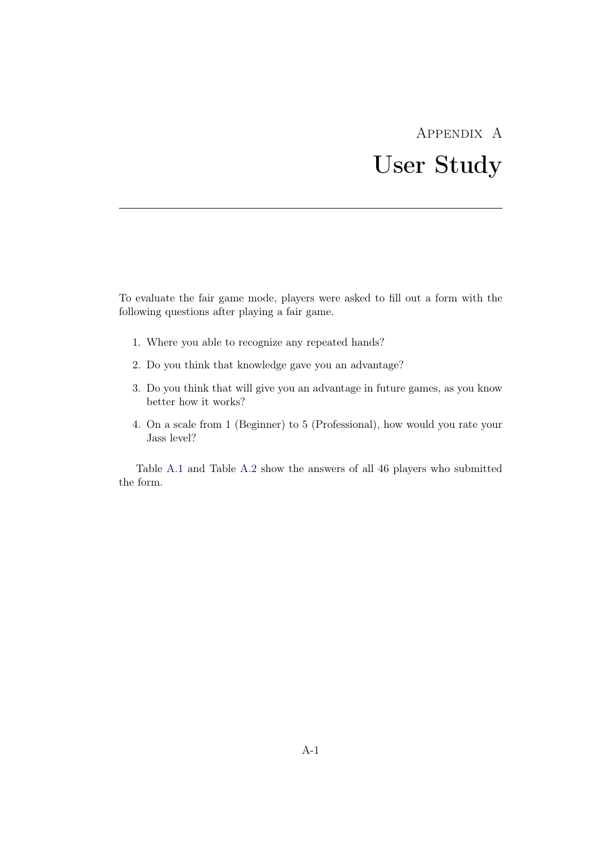# Appendix A User Study

<span id="page-18-0"></span>To evaluate the fair game mode, players were asked to fill out a form with the following questions after playing a fair game.

- 1. Where you able to recognize any repeated hands?
- 2. Do you think that knowledge gave you an advantage?
- 3. Do you think that will give you an advantage in future games, as you know better how it works?
- 4. On a scale from 1 (Beginner) to 5 (Professional), how would you rate your Jass level?

Table [A.1](#page-19-0) and Table [A.2](#page-20-0) show the answers of all 46 players who submitted the form.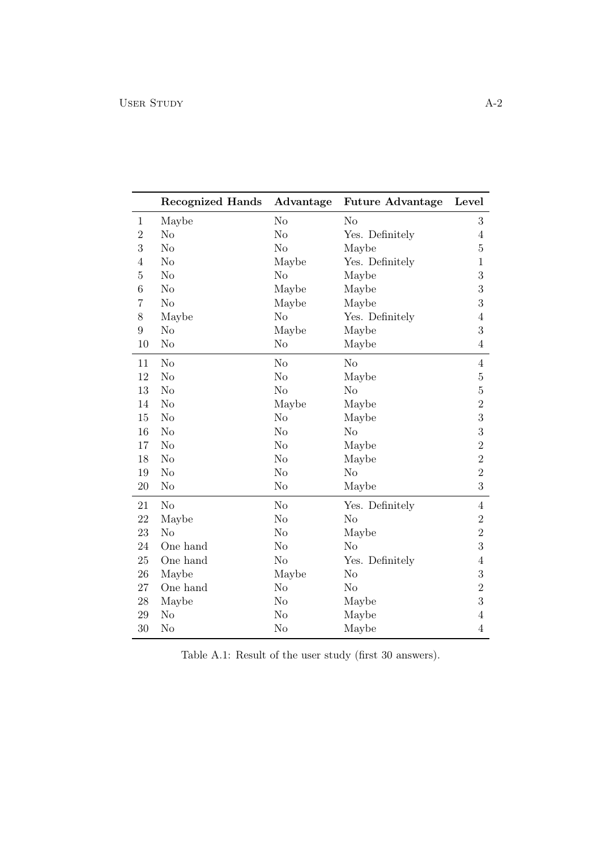<span id="page-19-0"></span>

|                | <b>Recognized Hands</b> | Advantage      | <b>Future Advantage</b> | Level          |
|----------------|-------------------------|----------------|-------------------------|----------------|
| $\mathbf{1}$   | Maybe                   | N <sub>o</sub> | N <sub>o</sub>          | 3              |
| $\overline{2}$ | $\rm No$                | N <sub>o</sub> | Yes. Definitely         | $\overline{4}$ |
| 3              | N <sub>o</sub>          | N <sub>o</sub> | Maybe                   | $\overline{5}$ |
| 4              | N <sub>o</sub>          | Maybe          | Yes. Definitely         | $\mathbf 1$    |
| $\overline{5}$ | N <sub>o</sub>          | N <sub>o</sub> | Maybe                   | 3              |
| 6              | No                      | Maybe          | Maybe                   | 3              |
| 7              | N <sub>o</sub>          | Maybe          | Maybe                   | 3              |
| 8              | Maybe                   | N <sub>o</sub> | Yes. Definitely         | $\overline{4}$ |
| 9              | No                      | Maybe          | Maybe                   | 3              |
| 10             | N <sub>o</sub>          | No             | Maybe                   | $\overline{4}$ |
| 11             | N <sub>o</sub>          | N <sub>o</sub> | N <sub>o</sub>          | $\overline{4}$ |
| 12             | N <sub>o</sub>          | N <sub>o</sub> | Maybe                   | $\overline{5}$ |
| 13             | N <sub>o</sub>          | N <sub>o</sub> | N <sub>o</sub>          | $\overline{5}$ |
| 14             | N <sub>o</sub>          | Maybe          | Maybe                   | $\overline{2}$ |
| 15             | N <sub>o</sub>          | N <sub>o</sub> | Maybe                   | 3              |
| 16             | No                      | No             | No                      | 3              |
| 17             | N <sub>o</sub>          | N <sub>o</sub> | Maybe                   | $\overline{2}$ |
| 18             | N <sub>o</sub>          | N <sub>o</sub> | Maybe                   | $\overline{2}$ |
| 19             | No                      | No             | N <sub>o</sub>          | $\overline{2}$ |
| 20             | N <sub>o</sub>          | No             | Maybe                   | 3              |
| 21             | N <sub>o</sub>          | N <sub>o</sub> | Yes. Definitely         | $\overline{4}$ |
| 22             | Maybe                   | No             | N <sub>o</sub>          | $\overline{2}$ |
| 23             | N <sub>o</sub>          | N <sub>o</sub> | Maybe                   | $\overline{2}$ |
| 24             | One hand                | No             | N <sub>o</sub>          | 3              |
| 25             | One hand                | No             | Yes. Definitely         | $\overline{4}$ |
| 26             | Maybe                   | Maybe          | N <sub>o</sub>          | 3              |
| 27             | One hand                | No             | No                      | $\overline{2}$ |
| 28             | Maybe                   | N <sub>o</sub> | Maybe                   | 3              |
| 29             | N <sub>o</sub>          | N <sub>o</sub> | Maybe                   | $\overline{4}$ |
| 30             | No                      | No             | Maybe                   | $\overline{4}$ |

Table A.1: Result of the user study (first 30 answers).